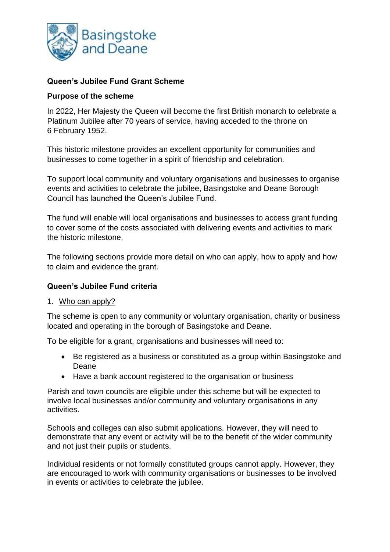

# **Queen's Jubilee Fund Grant Scheme**

## **Purpose of the scheme**

 In 2022, Her Majesty the Queen will become the first British monarch to celebrate a Platinum Jubilee after 70 years of service, having acceded to the throne on 6 February 1952.

 This historic milestone provides an excellent opportunity for communities and businesses to come together in a spirit of friendship and celebration.

To support local community and voluntary organisations and businesses to organise events and activities to celebrate the jubilee, Basingstoke and Deane Borough Council has launched the Queen's Jubilee Fund.

The fund will enable will local organisations and businesses to access grant funding to cover some of the costs associated with delivering events and activities to mark the historic milestone.

 The following sections provide more detail on who can apply, how to apply and how to claim and evidence the grant.

## **Queen's Jubilee Fund criteria**

## 1. Who can apply?

The scheme is open to any community or voluntary organisation, charity or business located and operating in the borough of Basingstoke and Deane.

To be eligible for a grant, organisations and businesses will need to:

- • Be registered as a business or constituted as a group within Basingstoke and Deane
- Have a bank account registered to the organisation or business

Parish and town councils are eligible under this scheme but will be expected to involve local businesses and/or community and voluntary organisations in any activities.

Schools and colleges can also submit applications. However, they will need to demonstrate that any event or activity will be to the benefit of the wider community and not just their pupils or students.

Individual residents or not formally constituted groups cannot apply. However, they are encouraged to work with community organisations or businesses to be involved in events or activities to celebrate the jubilee.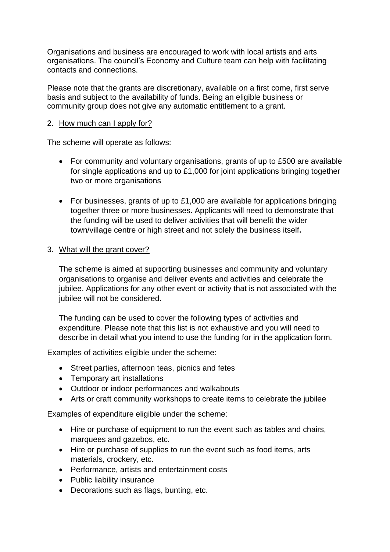Organisations and business are encouraged to work with local artists and arts organisations. The council's Economy and Culture team can help with facilitating contacts and connections.

 basis and subject to the availability of funds. Being an eligible business or Please note that the grants are discretionary, available on a first come, first serve community group does not give any automatic entitlement to a grant.

# 2. How much can I apply for?

The scheme will operate as follows:

- • For community and voluntary organisations, grants of up to £500 are available for single applications and up to £1,000 for joint applications bringing together two or more organisations
- • For businesses, grants of up to £1,000 are available for applications bringing together three or more businesses. Applicants will need to demonstrate that the funding will be used to deliver activities that will benefit the wider town/village centre or high street and not solely the business itself**.**

## 3. What will the grant cover?

The scheme is aimed at supporting businesses and community and voluntary organisations to organise and deliver events and activities and celebrate the jubilee. Applications for any other event or activity that is not associated with the jubilee will not be considered.

 expenditure. Please note that this list is not exhaustive and you will need to The funding can be used to cover the following types of activities and describe in detail what you intend to use the funding for in the application form.

Examples of activities eligible under the scheme:

- Street parties, afternoon teas, picnics and fetes
- Temporary art installations
- Outdoor or indoor performances and walkabouts
- Arts or craft community workshops to create items to celebrate the jubilee

Examples of expenditure eligible under the scheme:

- Hire or purchase of equipment to run the event such as tables and chairs, marquees and gazebos, etc.
- Hire or purchase of supplies to run the event such as food items, arts materials, crockery, etc.
- Performance, artists and entertainment costs
- Public liability insurance
- Decorations such as flags, bunting, etc.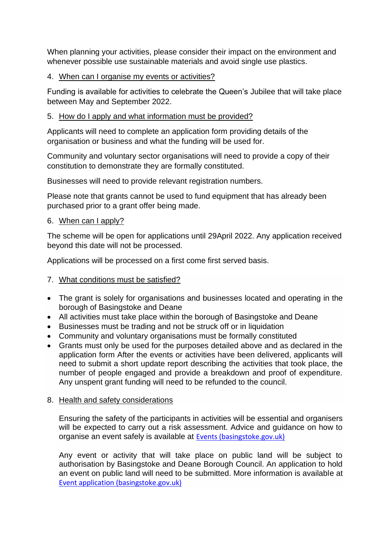When planning your activities, please consider their impact on the environment and whenever possible use sustainable materials and avoid single use plastics.

## 4. When can I organise my events or activities?

 Funding is available for activities to celebrate the Queen's Jubilee that will take place between May and September 2022.

# 5. How do I apply and what information must be provided?

 Applicants will need to complete an application form providing details of the organisation or business and what the funding will be used for.

 constitution to demonstrate they are formally constituted. Community and voluntary sector organisations will need to provide a copy of their

Businesses will need to provide relevant registration numbers.

 Please note that grants cannot be used to fund equipment that has already been purchased prior to a grant offer being made.

## 6. When can I apply?

The scheme will be open for applications until 29April 2022. Any application received beyond this date will not be processed.

Applications will be processed on a first come first served basis.

# 7. What conditions must be satisfied?

- • The grant is solely for organisations and businesses located and operating in the borough of Basingstoke and Deane
- All activities must take place within the borough of Basingstoke and Deane
- Businesses must be trading and not be struck off or in liquidation
- Community and voluntary organisations must be formally constituted
- • Grants must only be used for the purposes detailed above and as declared in the application form After the events or activities have been delivered, applicants will need to submit a short update report describing the activities that took place, the number of people engaged and provide a breakdown and proof of expenditure. Any unspent grant funding will need to be refunded to the council.

## 8. Health and safety considerations

 will be expected to carry out a risk assessment. Advice and guidance on how to Ensuring the safety of the participants in activities will be essential and organisers organise an event safely is available at [Events \(basingstoke.gov.uk\)](https://www.basingstoke.gov.uk/events) 

 Any event or activity that will take place on public land will be subject to authorisation by Basingstoke and Deane Borough Council. An application to hold an event on public land will need to be submitted. More information is available at [Event application \(basingstoke.gov.uk\)](https://www.basingstoke.gov.uk/event-application-landing-page)